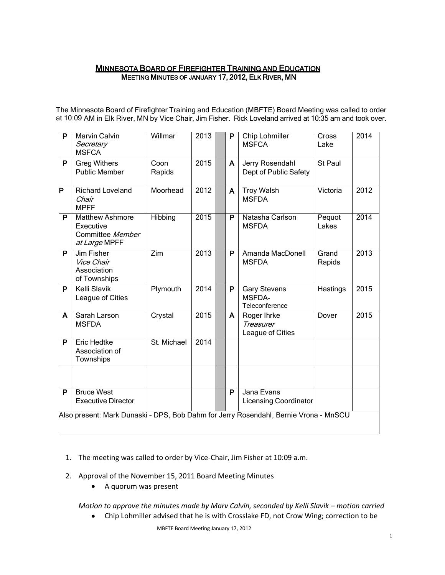# MINNESOTA BOARD OF FIREFIGHTER TRAINING AND EDUCATION MEETING MINUTES OF JANUARY 17, 2012, ELK RIVER, MN

The Minnesota Board of Firefighter Training and Education (MBFTE) Board Meeting was called to order at 10:09 AM in Elk River, MN by Vice Chair, Jim Fisher. Rick Loveland arrived at 10:35 am and took over.

| $\overline{\mathsf{P}}$                                                              | <b>Marvin Calvin</b><br>Secretary<br><b>MSFCA</b>                        | Willmar        | 2013 |  | P | <b>Chip Lohmiller</b><br><b>MSFCA</b>                  | Cross<br>Lake   | 2014 |
|--------------------------------------------------------------------------------------|--------------------------------------------------------------------------|----------------|------|--|---|--------------------------------------------------------|-----------------|------|
| P                                                                                    | <b>Greg Withers</b><br><b>Public Member</b>                              | Coon<br>Rapids | 2015 |  | A | Jerry Rosendahl<br>Dept of Public Safety               | St Paul         |      |
| Þ                                                                                    | <b>Richard Loveland</b><br>Chair<br><b>MPFF</b>                          | Moorhead       | 2012 |  | A | <b>Troy Walsh</b><br><b>MSFDA</b>                      | Victoria        | 2012 |
| P                                                                                    | <b>Matthew Ashmore</b><br>Executive<br>Committee Member<br>at Large MPFF | Hibbing        | 2015 |  | P | Natasha Carlson<br><b>MSFDA</b>                        | Pequot<br>Lakes | 2014 |
| P                                                                                    | Jim Fisher<br>Vice Chair<br>Association<br>of Townships                  | Zim            | 2013 |  | P | Amanda MacDonell<br><b>MSFDA</b>                       | Grand<br>Rapids | 2013 |
| P                                                                                    | <b>Kelli Slavik</b><br>League of Cities                                  | Plymouth       | 2014 |  | P | <b>Gary Stevens</b><br><b>MSFDA-</b><br>Teleconference | Hastings        | 2015 |
| A                                                                                    | Sarah Larson<br><b>MSFDA</b>                                             | Crystal        | 2015 |  | A | Roger Ihrke<br>Treasurer<br>League of Cities           | Dover           | 2015 |
| P                                                                                    | Eric Hedtke<br>Association of<br>Townships                               | St. Michael    | 2014 |  |   |                                                        |                 |      |
|                                                                                      |                                                                          |                |      |  |   |                                                        |                 |      |
| P                                                                                    | <b>Bruce West</b><br><b>Executive Director</b>                           |                |      |  | P | Jana Evans<br><b>Licensing Coordinator</b>             |                 |      |
| Also present: Mark Dunaski - DPS, Bob Dahm for Jerry Rosendahl, Bernie Vrona - MnSCU |                                                                          |                |      |  |   |                                                        |                 |      |

- 1. The meeting was called to order by Vice-Chair, Jim Fisher at 10:09 a.m.
- 2. Approval of the November 15, 2011 Board Meeting Minutes
	- A quorum was present

*Motion to approve the minutes made by Marv Calvin, seconded by Kelli Slavik - motion carried* 

Chip Lohmiller advised that he is with Crosslake FD, not Crow Wing; correction to be  $\bullet$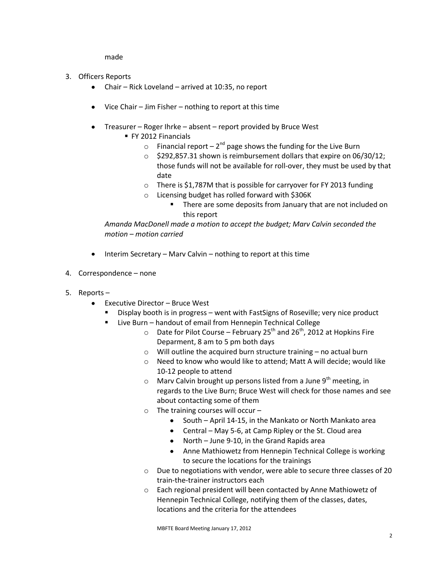made

- 3. Officers Reports
	- Chair Rick Loveland arrived at 10:35, no report
	- Vice Chair Jim Fisher nothing to report at this time
	- Treasurer Roger Ihrke absent report provided by Bruce West
		- FY 2012 Financials
			- $\circ$  Financial report 2<sup>nd</sup> page shows the funding for the Live Burn
			- o \$292,857.31 shown is reimbursement dollars that expire on 06/30/12; those funds will not be available for roll-over, they must be used by that date
			- o There is \$1,787M that is possible for carryover for FY 2013 funding
			- o Licensing budget has rolled forward with \$306K
				- **There are some deposits from January that are not included on** this report

*Amanda MacDonell made a motion to accept the budget; Marv Calvin seconded the motion – motion carried*

- $\bullet$  Interim Secretary Marv Calvin nothing to report at this time
- 4. Correspondence none
- 5. Reports
	- Executive Director Bruce West  $\bullet$ 
		- Display booth is in progress went with FastSigns of Roseville; very nice product
		- Live Burn handout of email from Hennepin Technical College
			- $\circ$  Date for Pilot Course February 25<sup>th</sup> and 26<sup>th</sup>, 2012 at Hopkins Fire Deparment, 8 am to 5 pm both days
			- o Will outline the acquired burn structure training no actual burn
			- o Need to know who would like to attend; Matt A will decide; would like 10-12 people to attend
			- $\circ$  Marv Calvin brought up persons listed from a June 9<sup>th</sup> meeting, in regards to the Live Burn; Bruce West will check for those names and see about contacting some of them
			- $\circ$  The training courses will occur
				- South April 14-15, in the Mankato or North Mankato area
				- Central May 5-6, at Camp Ripley or the St. Cloud area
				- North June 9-10, in the Grand Rapids area
				- Anne Mathiowetz from Hennepin Technical College is working to secure the locations for the trainings
			- o Due to negotiations with vendor, were able to secure three classes of 20 train-the-trainer instructors each
			- o Each regional president will been contacted by Anne Mathiowetz of Hennepin Technical College, notifying them of the classes, dates, locations and the criteria for the attendees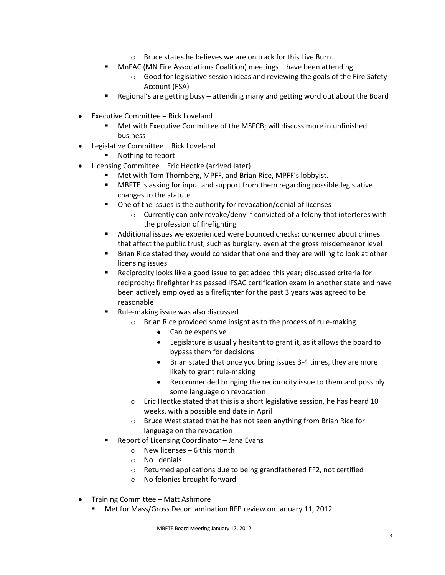- o Bruce states he believes we are on track for this Live Burn.
- **MITAC (MN Fire Associations Coalition) meetings have been attending** 
	- $\circ$  Good for legislative session ideas and reviewing the goals of the Fire Safety Account (FSA)
- Regional's are getting busy attending many and getting word out about the Board
- Executive Committee Rick Loveland  $\bullet$ 
	- Met with Executive Committee of the MSFCB; will discuss more in unfinished business
- Legislative Committee Rick Loveland
	- **Nothing to report**
- Licensing Committee Eric Hedtke (arrived later)  $\bullet$ 
	- Met with Tom Thornberg, MPFF, and Brian Rice, MPFF's lobbyist.
	- MBFTE is asking for input and support from them regarding possible legislative changes to the statute
	- One of the issues is the authority for revocation/denial of licenses
		- o Currently can only revoke/deny if convicted of a felony that interferes with the profession of firefighting
	- Additional issues we experienced were bounced checks; concerned about crimes that affect the public trust, such as burglary, even at the gross misdemeanor level
	- Brian Rice stated they would consider that one and they are willing to look at other licensing issues
	- Reciprocity looks like a good issue to get added this year; discussed criteria for reciprocity: firefighter has passed IFSAC certification exam in another state and have been actively employed as a firefighter for the past 3 years was agreed to be reasonable
	- Rule-making issue was also discussed
		- o Brian Rice provided some insight as to the process of rule-making
			- Can be expensive
			- Legislature is usually hesitant to grant it, as it allows the board to bypass them for decisions
			- $\bullet$ Brian stated that once you bring issues 3-4 times, they are more likely to grant rule-making
			- Recommended bringing the reciprocity issue to them and possibly  $\bullet$ some language on revocation
		- o Eric Hedtke stated that this is a short legislative session, he has heard 10 weeks, with a possible end date in April
		- o Bruce West stated that he has not seen anything from Brian Rice for language on the revocation
	- Report of Licensing Coordinator Jana Evans
		- $\circ$  New licenses 6 this month
		- o No denials
		- o Returned applications due to being grandfathered FF2, not certified
		- o No felonies brought forward
- Training Committee Matt Ashmore
	- Met for Mass/Gross Decontamination RFP review on January 11, 2012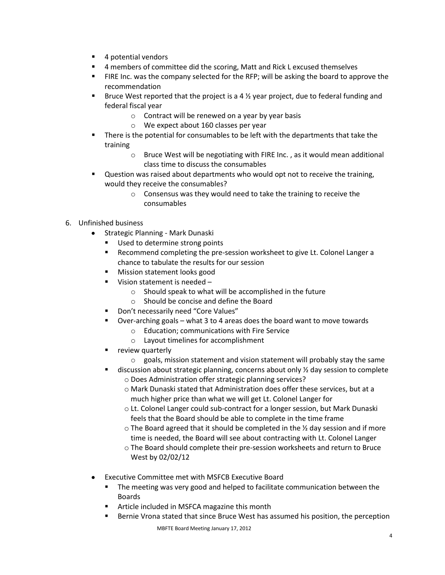- 4 potential vendors
- 4 members of committee did the scoring, Matt and Rick L excused themselves
- **FIRE Inc. was the company selected for the RFP; will be asking the board to approve the** recommendation
- **Bruce West reported that the project is a 4**  $\frac{1}{2}$  **year project, due to federal funding and** federal fiscal year
	- o Contract will be renewed on a year by year basis
	- o We expect about 160 classes per year
- There is the potential for consumables to be left with the departments that take the training
	- o Bruce West will be negotiating with FIRE Inc. , as it would mean additional class time to discuss the consumables
- **Question was raised about departments who would opt not to receive the training,** would they receive the consumables?
	- o Consensus was they would need to take the training to receive the consumables

# 6. Unfinished business

- Strategic Planning Mark Dunaski  $\bullet$ 
	- Used to determine strong points
	- Recommend completing the pre-session worksheet to give Lt. Colonel Langer a chance to tabulate the results for our session
	- Mission statement looks good
	- Vision statement is needed
		- o Should speak to what will be accomplished in the future
		- o Should be concise and define the Board
	- Don't necessarily need "Core Values"
	- Over-arching goals what 3 to 4 areas does the board want to move towards
		- o Education; communications with Fire Service
		- o Layout timelines for accomplishment
	- **•** review quarterly
		- o goals, mission statement and vision statement will probably stay the same
	- **discussion about strategic planning, concerns about only**  $\frac{1}{2}$  **day session to complete** o Does Administration offer strategic planning services?
		- o Mark Dunaski stated that Administration does offer these services, but at a much higher price than what we will get Lt. Colonel Langer for
		- o Lt. Colonel Langer could sub-contract for a longer session, but Mark Dunaski feels that the Board should be able to complete in the time frame
		- $\circ$  The Board agreed that it should be completed in the  $\frac{1}{2}$  day session and if more time is needed, the Board will see about contracting with Lt. Colonel Langer
		- o The Board should complete their pre-session worksheets and return to Bruce West by 02/02/12
- Executive Committee met with MSFCB Executive Board
	- **The meeting was very good and helped to facilitate communication between the** Boards
	- **F** Article included in MSFCA magazine this month
	- Bernie Vrona stated that since Bruce West has assumed his position, the perception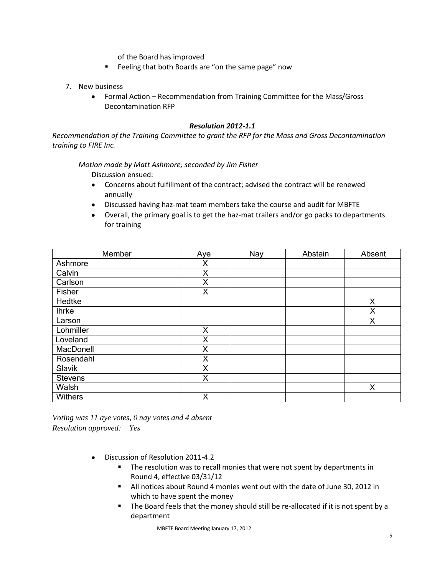of the Board has improved

- **Feeling that both Boards are "on the same page" now**
- 7. New business
	- Formal Action Recommendation from Training Committee for the Mass/Gross  $\bullet$ Decontamination RFP

### *Resolution 2012-1.1*

*Recommendation of the Training Committee to grant the RFP for the Mass and Gross Decontamination training to FIRE Inc.* 

*Motion made by Matt Ashmore; seconded by Jim Fisher*

Discussion ensued:

- Concerns about fulfillment of the contract; advised the contract will be renewed  $\bullet$ annually
- Discussed having haz-mat team members take the course and audit for MBFTE
- Overall, the primary goal is to get the haz-mat trailers and/or go packs to departments for training

| Member         | Aye | Nay | Abstain | Absent |
|----------------|-----|-----|---------|--------|
| Ashmore        | X   |     |         |        |
| Calvin         | X   |     |         |        |
| Carlson        | X   |     |         |        |
| Fisher         | X   |     |         |        |
| Hedtke         |     |     |         | X      |
| <b>Ihrke</b>   |     |     |         | X      |
| Larson         |     |     |         | X      |
| Lohmiller      | X   |     |         |        |
| Loveland       | X   |     |         |        |
| MacDonell      | X   |     |         |        |
| Rosendahl      | X   |     |         |        |
| Slavik         | X   |     |         |        |
| <b>Stevens</b> | X   |     |         |        |
| Walsh          |     |     |         | X      |
| <b>Withers</b> | X   |     |         |        |

*Voting was 11 aye votes, 0 nay votes and 4 absent Resolution approved: Yes* 

- Discussion of Resolution 2011-4.2  $\bullet$ 
	- **The resolution was to recall monies that were not spent by departments in** Round 4, effective 03/31/12
	- All notices about Round 4 monies went out with the date of June 30, 2012 in which to have spent the money
	- The Board feels that the money should still be re-allocated if it is not spent by a department

MBFTE Board Meeting January 17, 2012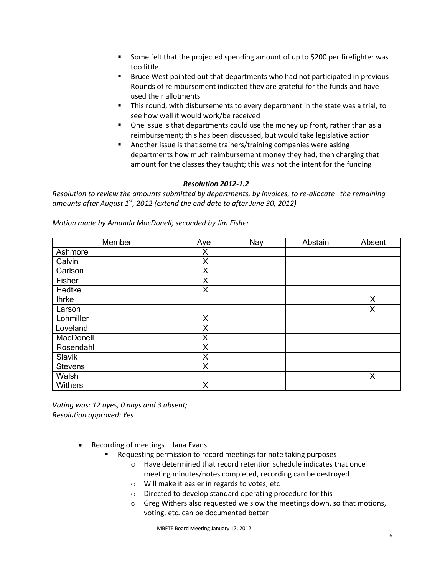- Some felt that the projected spending amount of up to \$200 per firefighter was too little
- Bruce West pointed out that departments who had not participated in previous Rounds of reimbursement indicated they are grateful for the funds and have used their allotments
- This round, with disbursements to every department in the state was a trial, to see how well it would work/be received
- One issue is that departments could use the money up front, rather than as a reimbursement; this has been discussed, but would take legislative action
- Another issue is that some trainers/training companies were asking departments how much reimbursement money they had, then charging that amount for the classes they taught; this was not the intent for the funding

## *Resolution 2012-1.2*

*Resolution to review the amounts submitted by departments, by invoices, to re-allocate the remaining amounts after August 1st, 2012 (extend the end date to after June 30, 2012)*

| Member         | Aye | Nay | Abstain | Absent |
|----------------|-----|-----|---------|--------|
| Ashmore        | Χ   |     |         |        |
| Calvin         | X   |     |         |        |
| Carlson        | X   |     |         |        |
| Fisher         | X   |     |         |        |
| Hedtke         | X   |     |         |        |
| <b>Ihrke</b>   |     |     |         | Χ      |
| Larson         |     |     |         | Χ      |
| Lohmiller      | X   |     |         |        |
| Loveland       | X   |     |         |        |
| MacDonell      | Χ   |     |         |        |
| Rosendahl      | X   |     |         |        |
| Slavik         | X   |     |         |        |
| <b>Stevens</b> | X   |     |         |        |
| Walsh          |     |     |         | X      |
| Withers        | X   |     |         |        |

*Motion made by Amanda MacDonell; seconded by Jim Fisher*

*Voting was: 12 ayes, 0 nays and 3 absent; Resolution approved: Yes*

- Recording of meetings Jana Evans
	- Requesting permission to record meetings for note taking purposes
		- o Have determined that record retention schedule indicates that once meeting minutes/notes completed, recording can be destroyed
		- o Will make it easier in regards to votes, etc
		- o Directed to develop standard operating procedure for this
		- o Greg Withers also requested we slow the meetings down, so that motions, voting, etc. can be documented better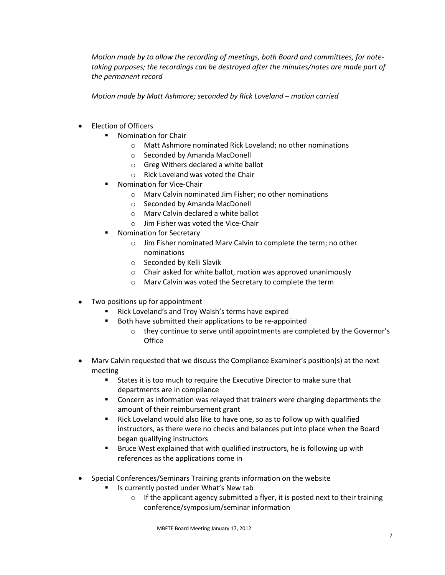*Motion made by to allow the recording of meetings, both Board and committees, for notetaking purposes; the recordings can be destroyed after the minutes/notes are made part of the permanent record*

*Motion made by Matt Ashmore; seconded by Rick Loveland – motion carried* 

- Election of Officers
	- **Nomination for Chair** 
		- o Matt Ashmore nominated Rick Loveland; no other nominations
		- o Seconded by Amanda MacDonell
		- o Greg Withers declared a white ballot
		- o Rick Loveland was voted the Chair
	- Nomination for Vice-Chair
		- o Marv Calvin nominated Jim Fisher; no other nominations
		- o Seconded by Amanda MacDonell
		- o Marv Calvin declared a white ballot
		- o Jim Fisher was voted the Vice-Chair
	- Nomination for Secretary
		- o Jim Fisher nominated Marv Calvin to complete the term; no other nominations
		- o Seconded by Kelli Slavik
		- o Chair asked for white ballot, motion was approved unanimously
		- o Marv Calvin was voted the Secretary to complete the term
- Two positions up for appointment  $\bullet$ 
	- Rick Loveland's and Troy Walsh's terms have expired
	- Both have submitted their applications to be re-appointed
		- o they continue to serve until appointments are completed by the Governor's **Office**
- Marv Calvin requested that we discuss the Compliance Examiner's position(s) at the next meeting
	- States it is too much to require the Executive Director to make sure that departments are in compliance
	- Concern as information was relayed that trainers were charging departments the amount of their reimbursement grant
	- Rick Loveland would also like to have one, so as to follow up with qualified instructors, as there were no checks and balances put into place when the Board began qualifying instructors
	- Bruce West explained that with qualified instructors, he is following up with references as the applications come in
- Special Conferences/Seminars Training grants information on the website  $\bullet$ 
	- Is currently posted under What's New tab
		- $\circ$  If the applicant agency submitted a flyer, it is posted next to their training conference/symposium/seminar information